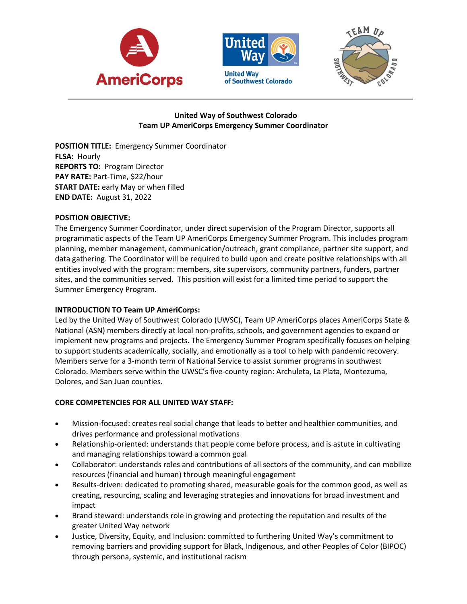





# **United Way of Southwest Colorado Team UP AmeriCorps Emergency Summer Coordinator**

**POSITION TITLE:** Emergency Summer Coordinator **FLSA:** Hourly **REPORTS TO:** Program Director **PAY RATE:** Part-Time, \$22/hour **START DATE:** early May or when filled **END DATE:** August 31, 2022

### **POSITION OBJECTIVE:**

The Emergency Summer Coordinator, under direct supervision of the Program Director, supports all programmatic aspects of the Team UP AmeriCorps Emergency Summer Program. This includes program planning, member management, communication/outreach, grant compliance, partner site support, and data gathering. The Coordinator will be required to build upon and create positive relationships with all entities involved with the program: members, site supervisors, community partners, funders, partner sites, and the communities served. This position will exist for a limited time period to support the Summer Emergency Program.

# **INTRODUCTION TO Team UP AmeriCorps:**

Led by the United Way of Southwest Colorado (UWSC), Team UP AmeriCorps places AmeriCorps State & National (ASN) members directly at local non-profits, schools, and government agencies to expand or implement new programs and projects. The Emergency Summer Program specifically focuses on helping to support students academically, socially, and emotionally as a tool to help with pandemic recovery. Members serve for a 3-month term of National Service to assist summer programs in southwest Colorado. Members serve within the UWSC's five-county region: Archuleta, La Plata, Montezuma, Dolores, and San Juan counties.

# **CORE COMPETENCIES FOR ALL UNITED WAY STAFF:**

- Mission-focused: creates real social change that leads to better and healthier communities, and drives performance and professional motivations
- Relationship-oriented: understands that people come before process, and is astute in cultivating and managing relationships toward a common goal
- Collaborator: understands roles and contributions of all sectors of the community, and can mobilize resources (financial and human) through meaningful engagement
- Results-driven: dedicated to promoting shared, measurable goals for the common good, as well as creating, resourcing, scaling and leveraging strategies and innovations for broad investment and impact
- Brand steward: understands role in growing and protecting the reputation and results of the greater United Way network
- Justice, Diversity, Equity, and Inclusion: committed to furthering United Way's commitment to removing barriers and providing support for Black, Indigenous, and other Peoples of Color (BIPOC) through persona, systemic, and institutional racism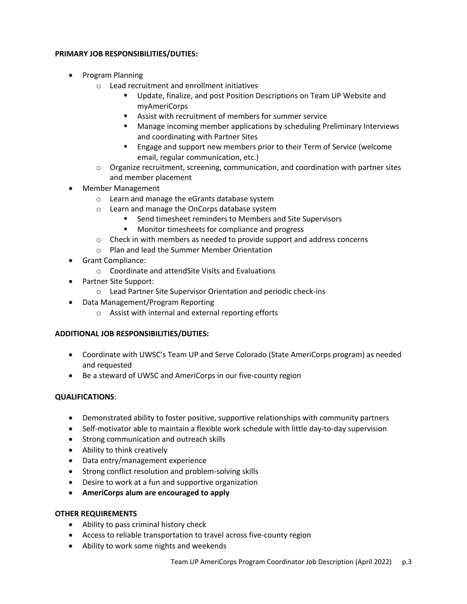### **PRIMARY JOB RESPONSIBILITIES/DUTIES:**

- Program Planning
	- o Lead recruitment and enrollment initiatives
		- Update, finalize, and post Position Descriptions on Team UP Website and myAmeriCorps
		- Assist with recruitment of members for summer service
		- Manage incoming member applications by scheduling Preliminary Interviews and coordinating with Partner Sites
		- Engage and support new members prior to their Term of Service (welcome email, regular communication, etc.)
	- $\circ$  Organize recruitment, screening, communication, and coordination with partner sites and member placement
- Member Management
	- o Learn and manage the eGrants database system
	- o Learn and manage the OnCorps database system
		- § Send timesheet reminders to Members and Site Supervisors
		- Monitor timesheets for compliance and progress
	- $\circ$  Check in with members as needed to provide support and address concerns
	- o Plan and lead the Summer Member Orientation
- Grant Compliance:
	- o Coordinate and attendSite Visits and Evaluations
- Partner Site Support:
	- o Lead Partner Site Supervisor Orientation and periodic check-ins
- Data Management/Program Reporting
	- o Assist with internal and external reporting efforts

### **ADDITIONAL JOB RESPONSIBILITIES/DUTIES:**

- Coordinate with UWSC's Team UP and Serve Colorado (State AmeriCorps program) as needed and requested
- Be a steward of UWSC and AmeriCorps in our five-county region

### **QUALIFICATIONS**:

- Demonstrated ability to foster positive, supportive relationships with community partners
- Self-motivator able to maintain a flexible work schedule with little day-to-day supervision
- Strong communication and outreach skills
- Ability to think creatively
- Data entry/management experience
- Strong conflict resolution and problem-solving skills
- Desire to work at a fun and supportive organization
- **AmeriCorps alum are encouraged to apply**

### **OTHER REQUIREMENTS**

- Ability to pass criminal history check
- Access to reliable transportation to travel across five-county region
- Ability to work some nights and weekends